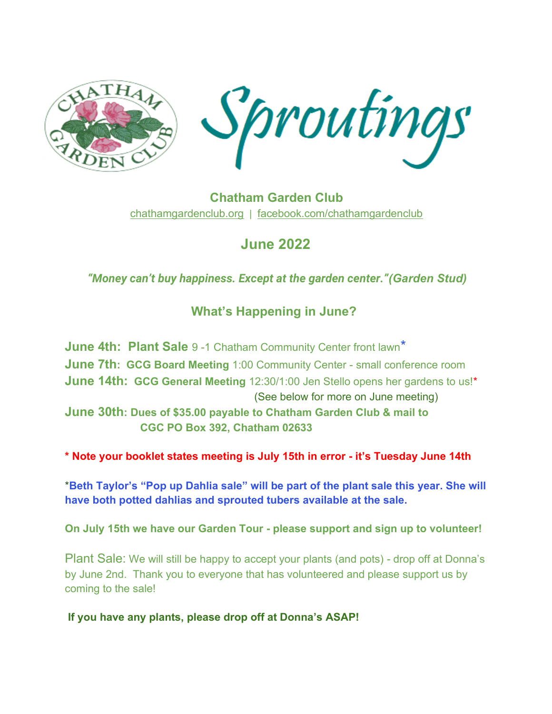

**Chatham Garden Club** [chathamgardenclub.org](http://www.chathamgardenclub.org/) | [facebook.com/chathamgardenclub](https://www.facebook.com/chathamgardenclub)

# **June 2022**

## *"Money can't buy happiness. Except at the garden center."(Garden Stud)*

## **What's Happening in June?**

**June 4th: Plant Sale** 9 -1 Chatham Community Center front lawn\* **June 7th: GCG Board Meeting** 1:00 Community Center - small conference room **June 14th: GCG General Meeting** 12:30/1:00 Jen Stello opens her gardens to us!\* (See below for more on June meeting) **June 30th: Dues of \$35.00 payable to Chatham Garden Club & mail to** 

 **CGC PO Box 392, Chatham 02633**

**\* Note your booklet states meeting is July 15th in error - it's Tuesday June 14th**

\***Beth Taylor's "Pop up Dahlia sale" will be part of the plant sale this year. She will have both potted dahlias and sprouted tubers available at the sale.**

**On July 15th we have our Garden Tour - please support and sign up to volunteer!**

Plant Sale: We will still be happy to accept your plants (and pots) - drop off at Donna's by June 2nd. Thank you to everyone that has volunteered and please support us by coming to the sale!

**If you have any plants, please drop off at Donna's ASAP!**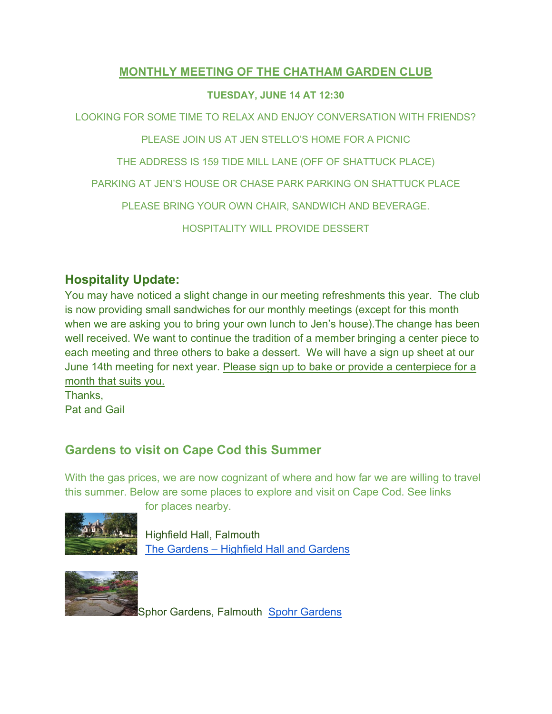#### **MONTHLY MEETING OF THE CHATHAM GARDEN CLUB**

#### **TUESDAY, JUNE 14 AT 12:30**

LOOKING FOR SOME TIME TO RELAX AND ENJOY CONVERSATION WITH FRIENDS?

PLEASE JOIN US AT JEN STELLO'S HOME FOR A PICNIC

THE ADDRESS IS 159 TIDE MILL LANE (OFF OF SHATTUCK PLACE)

PARKING AT JEN'S HOUSE OR CHASE PARK PARKING ON SHATTUCK PLACE

PLEASE BRING YOUR OWN CHAIR, SANDWICH AND BEVERAGE.

HOSPITALITY WILL PROVIDE DESSERT

### **Hospitality Update:**

You may have noticed a slight change in our meeting refreshments this year. The club is now providing small sandwiches for our monthly meetings (except for this month when we are asking you to bring your own lunch to Jen's house).The change has been well received. We want to continue the tradition of a member bringing a center piece to each meeting and three others to bake a dessert. We will have a sign up sheet at our June 14th meeting for next year. Please sign up to bake or provide a centerpiece for a month that suits you.

Thanks, Pat and Gail

## **Gardens to visit on Cape Cod this Summer**

With the gas prices, we are now cognizant of where and how far we are willing to travel this summer. Below are some places to explore and visit on Cape Cod. See links



for places nearby.

Highfield Hall, Falmouth The Gardens – [Highfield Hall and Gardens](https://highfieldhallandgardens.org/visit-highfield/gardens-of-highfield/)



Sphor Gardens, Falmouth [Spohr Gardens](https://spohrgardens.org/)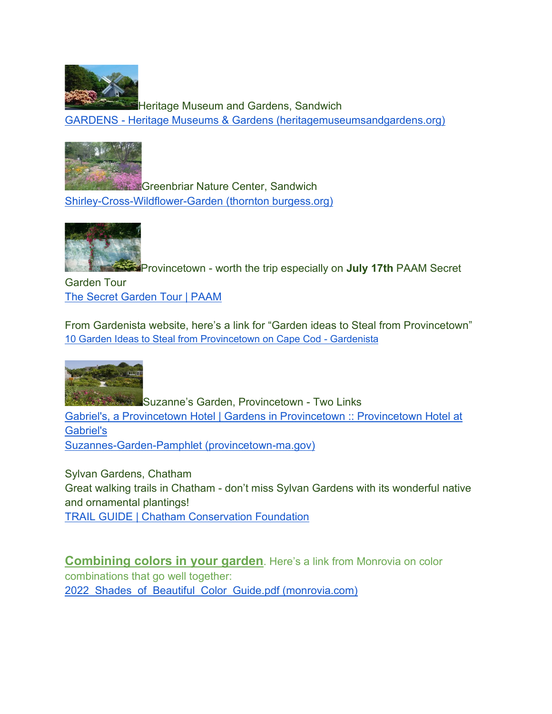

Heritage Museum and Gardens, Sandwich GARDENS - [Heritage Museums & Gardens \(heritagemuseumsandgardens.org\)](https://heritagemuseumsandgardens.org/gardens/)



**Greenbriar Nature Center, Sandwich** [Shirley-Cross-Wildflower-Garden \(thornton burgess.org\)](http://thorntonburgess.org/Shirley-Cross-Wildflower-Garden)



Provincetown - worth the trip especially on **July 17th** PAAM Secret

Garden Tour [The Secret Garden Tour | PAAM](https://paam.org/support/secret-garden-tour/)

From Gardenista website, here's a link for "Garden ideas to Steal from Provincetown" [10 Garden Ideas to Steal from Provincetown on Cape Cod -](http://www.gardenista.com/posts/10-garden-ideas-to-steal-from-provincetown-ptown-cape-cod-massachusetts/) Gardenista



**Suzanne's Garden, Provincetown - Two Links** [Gabriel's, a Provincetown Hotel | Gardens in Provincetown :: Provincetown Hotel at](https://www.provincetownhotel.com/gardens-in-provincetown)  [Gabriel's](https://www.provincetownhotel.com/gardens-in-provincetown) [Suzannes-Garden-Pamphlet \(provincetown-ma.gov\)](http://www.provincetown-ma.gov/DocumentCenter/View/11946/Suzannes-Garden-Pamphlet?bidId=)

Sylvan Gardens, Chatham Great walking trails in Chatham - don't miss Sylvan Gardens with its wonderful native and ornamental plantings! [TRAIL GUIDE | Chatham Conservation Foundation](https://www.chathamconservationfoundation.org/trailguide)

**Combining colors in your garden**. Here's a link from Monrovia on color combinations that go well together: 2022 Shades of Beautiful Color Guide.pdf (monrovia.com)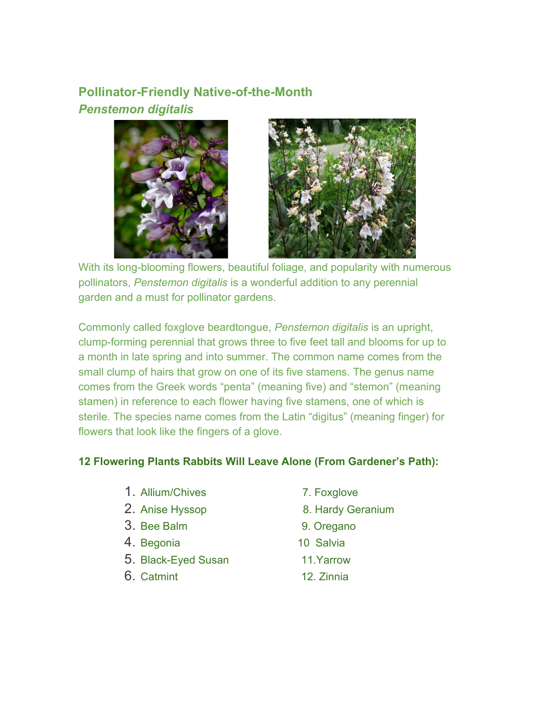## **Pollinator-Friendly Native-of-the-Month** *Penstemon digitalis*





With its long-blooming flowers, beautiful foliage, and popularity with numerous pollinators, *Penstemon digitalis* is a wonderful addition to any perennial garden and a must for pollinator gardens.

Commonly called foxglove beardtongue, *Penstemon digitalis* is an upright, clump-forming perennial that grows three to five feet tall and blooms for up to a month in late spring and into summer. The common name comes from the small clump of hairs that grow on one of its five stamens. The genus name comes from the Greek words "penta" (meaning five) and "stemon" (meaning stamen) in reference to each flower having five stamens, one of which is sterile. The species name comes from the Latin "digitus" (meaning finger) for flowers that look like the fingers of a glove.

#### **12 Flowering Plants Rabbits Will Leave Alone (From Gardener's Path):**

- 1. [Allium/](https://gardenerspath.com/how-to/animals-and-wildlife/rabbit-resistant-flowering-plants/#Allium)Chives 7. Foxglove
- 
- 3. [Bee Balm](https://gardenerspath.com/how-to/animals-and-wildlife/rabbit-resistant-flowering-plants/#Bee-Balm) 9. Oregano
- 4. [Begonia](https://gardenerspath.com/how-to/animals-and-wildlife/rabbit-resistant-flowering-plants/#Begonia) 10 Salvia
- 5. [Black-Eyed Susan](https://gardenerspath.com/how-to/animals-and-wildlife/rabbit-resistant-flowering-plants/#Black-Eyed-Susan) 11.Yarrow
- 6. [Catmint](https://gardenerspath.com/how-to/animals-and-wildlife/rabbit-resistant-flowering-plants/#Catmint) 12. Zinnia
- 
- 2. [Anise Hyssop](https://gardenerspath.com/how-to/animals-and-wildlife/rabbit-resistant-flowering-plants/#Anise-Hyssop) 8. Hardy Geranium
	-
	-
	-
	-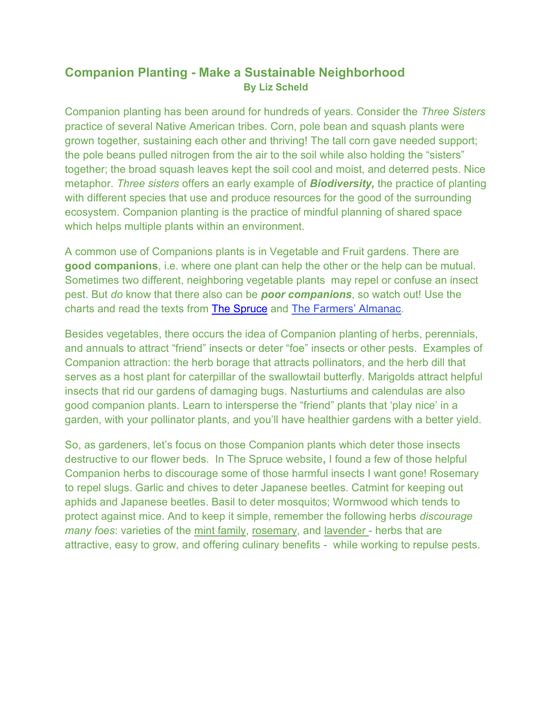### **Companion Planting - Make a Sustainable Neighborhood By Liz Scheld**

Companion planting has been around for hundreds of years. Consider the *Three Sisters*  practice of several Native American tribes. Corn, pole bean and squash plants were grown together, sustaining each other and thriving! The tall corn gave needed support; the pole beans pulled nitrogen from the air to the soil while also holding the "sisters" together; the broad squash leaves kept the soil cool and moist, and deterred pests. Nice metaphor. *Three sisters* offers an early example of *Biodiversity,* the practice of planting with different species that use and produce resources for the good of the surrounding ecosystem. Companion planting is the practice of mindful planning of shared space which helps multiple plants within an environment.

A common use of Companions plants is in Vegetable and Fruit gardens. There are **good companions**, i.e. where one plant can help the other or the help can be mutual. Sometimes two different, neighboring vegetable plants may repel or confuse an insect pest. But *do* know that there also can be *poor companions*, so watch out! Use the charts and read the texts from [The Spruce](https://www.thespruce.com/companion-planting-with-chart-5025124) and [The Farmers' Almanac](https://www.farmersalmanac.com/companion-planting-guide).

Besides vegetables, there occurs the idea of Companion planting of herbs, perennials, and annuals to attract "friend" insects or deter "foe" insects or other pests. Examples of Companion attraction: the herb borage that attracts pollinators, and the herb dill that serves as a host plant for caterpillar of the swallowtail butterfly. Marigolds attract helpful insects that rid our gardens of damaging bugs. Nasturtiums and calendulas are also good companion plants. Learn to intersperse the "friend" plants that 'play nice' in a garden, with your pollinator plants, and you'll have healthier gardens with a better yield.

So, as gardeners, let's focus on those Companion plants which deter those insects destructive to our flower beds. In The Spruce website**,** I found a few of those helpful Companion herbs to discourage some of those harmful insects I want gone! Rosemary to repel slugs. Garlic and chives to deter Japanese beetles. Catmint for keeping out aphids and Japanese beetles. Basil to deter mosquitos; Wormwood which tends to protect against mice. And to keep it simple, remember the following herbs *discourage many foes*: varieties of the mint family, rosemary, and lavender - herbs that are attractive, easy to grow, and offering culinary benefits - while working to repulse pests.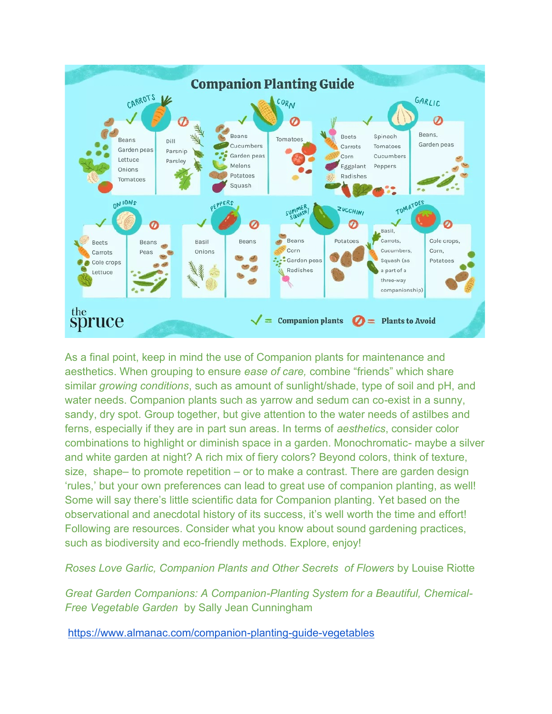

As a final point, keep in mind the use of Companion plants for maintenance and aesthetics. When grouping to ensure *ease of care,* combine "friends" which share similar *growing conditions*, such as amount of sunlight/shade, type of soil and pH, and water needs. Companion plants such as yarrow and sedum can co-exist in a sunny, sandy, dry spot. Group together, but give attention to the water needs of astilbes and ferns, especially if they are in part sun areas. In terms of *aesthetics*, consider color combinations to highlight or diminish space in a garden. Monochromatic- maybe a silver and white garden at night? A rich mix of fiery colors? Beyond colors, think of texture, size, shape– to promote repetition – or to make a contrast. There are garden design 'rules,' but your own preferences can lead to great use of companion planting, as well! Some will say there's little scientific data for Companion planting. Yet based on the observational and anecdotal history of its success, it's well worth the time and effort! Following are resources. Consider what you know about sound gardening practices, such as biodiversity and eco-friendly methods. Explore, enjoy!

*Roses Love Garlic, Companion Plants and Other Secrets of Flowers* by Louise Riotte

*Great Garden Companions: A Companion-Planting System for a Beautiful, Chemical-Free Vegetable Garden* by Sally Jean Cunningham

<https://www.almanac.com/companion-planting-guide-vegetables>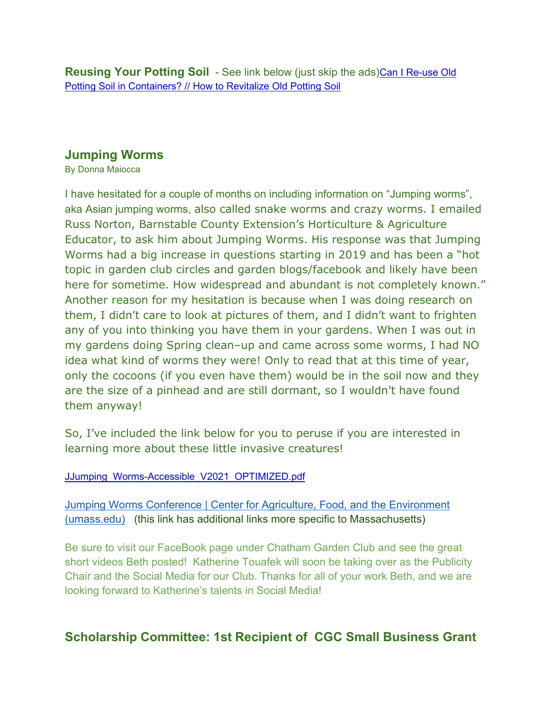**Reusing Your Potting Soil** - See link below (just skip the ads)[Can I Re-use Old](https://youtu.be/aNQOyk8XywQ)  [Potting Soil in Containers? // How to Revitalize Old Potting Soil](https://youtu.be/aNQOyk8XywQ)

#### **Jumping Worms**

By Donna Maiocca

I have hesitated for a couple of months on including information on "Jumping worms", aka Asian jumping worms, also called snake worms and crazy worms. I emailed Russ Norton, Barnstable County Extension's Horticulture & Agriculture Educator, to ask him about Jumping Worms. His response was that Jumping Worms had a big increase in questions starting in 2019 and has been a "hot topic in garden club circles and garden blogs/facebook and likely have been here for sometime. How widespread and abundant is not completely known." Another reason for my hesitation is because when I was doing research on them, I didn't care to look at pictures of them, and I didn't want to frighten any of you into thinking you have them in your gardens. When I was out in my gardens doing Spring clean–up and came across some worms, I had NO idea what kind of worms they were! Only to read that at this time of year, only the cocoons (if you even have them) would be in the soil now and they are the size of a pinhead and are still dormant, so I wouldn't have found them anyway!

So, I've included the link below for you to peruse if you are interested in learning more about these little invasive creatures!

#### [JJumping\\_Worms-Accessible\\_V2021\\_OPTIMIZED.pdf](https://drive.google.com/file/d/1FNRyLpBxVGmxYdIXJ5mc_q2gpomBK01T/view?usp=sharing)

[Jumping Worms Conference | Center for Agriculture, Food, and the Environment](https://ag.umass.edu/news-events/highlights/jumping-worms-conference)  [\(umass.edu\)](https://ag.umass.edu/news-events/highlights/jumping-worms-conference) (this link has additional links more specific to Massachusetts)

Be sure to visit our FaceBook page under Chatham Garden Club and see the great short videos Beth posted! Katherine Touafek will soon be taking over as the Publicity Chair and the Social Media for our Club. Thanks for all of your work Beth, and we are looking forward to Katherine's talents in Social Media!

## **Scholarship Committee: 1st Recipient of CGC Small Business Grant**